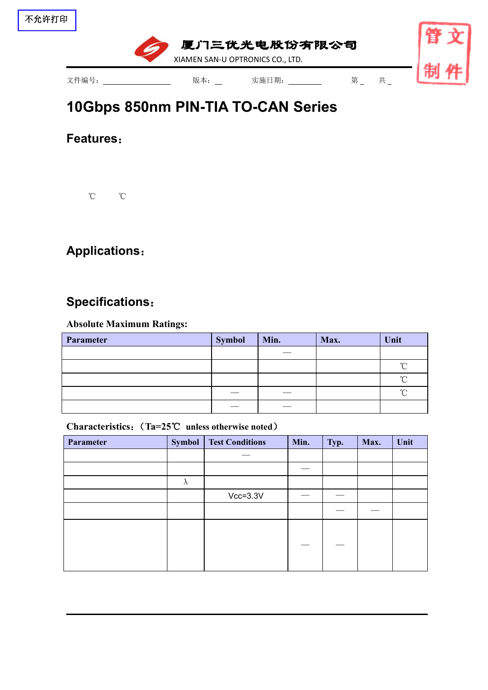

# **10Gbps 850nm PIN-TIA TO-CAN [Series](file:///C:/Users/Administrator/AppData/Local/youdao/dict/Application/7.5.2.0/resultui/dict/?keyword=series)**

**Features**:

℃ ℃

## **Applications**:

### **Specifications**:

#### **Absolute Maximum Ratings:**

| Parameter | <b>Symbol</b> | Min. | Max. | Unit   |
|-----------|---------------|------|------|--------|
|           |               |      |      |        |
|           |               |      |      | $\sim$ |
|           |               |      |      | $\sim$ |
|           | __            |      |      | $\sim$ |
|           |               |      |      |        |

#### **Characteristics**:(**Ta=25**℃ **unless otherwise noted**)

| Parameter | <b>Symbol</b> | <b>Test Conditions</b> | Min. | Typ. | Max. | Unit |
|-----------|---------------|------------------------|------|------|------|------|
|           |               |                        |      |      |      |      |
|           |               |                        |      |      |      |      |
|           | $\lambda$     |                        |      |      |      |      |
|           |               | $Vcc=3.3V$             |      |      |      |      |
|           |               |                        |      |      |      |      |
|           |               |                        |      |      |      |      |
|           |               |                        |      |      |      |      |
|           |               |                        |      |      |      |      |
|           |               |                        |      |      |      |      |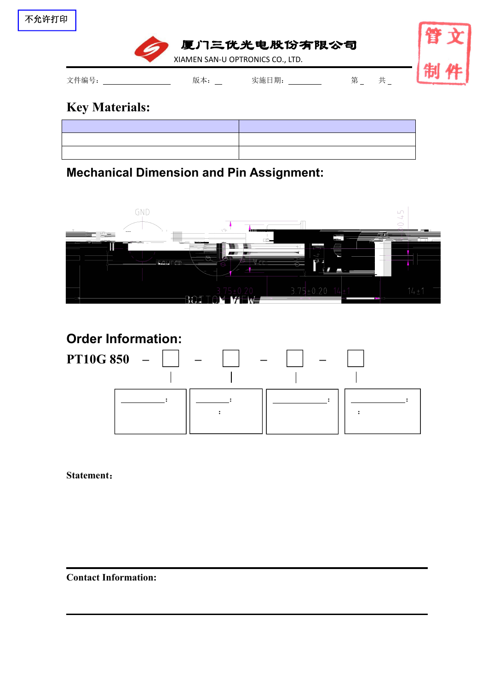| 不允许打印 |  |
|-------|--|
|-------|--|



## **Key Materials:**

# **Mechanical Dimension and Pin Assignment:**



# **Order Information: PT10G 850 – – – –** : : : : || <u>\_\_\_\_\_\_\_</u>: | :

**Statement**:

**Contact Information:**